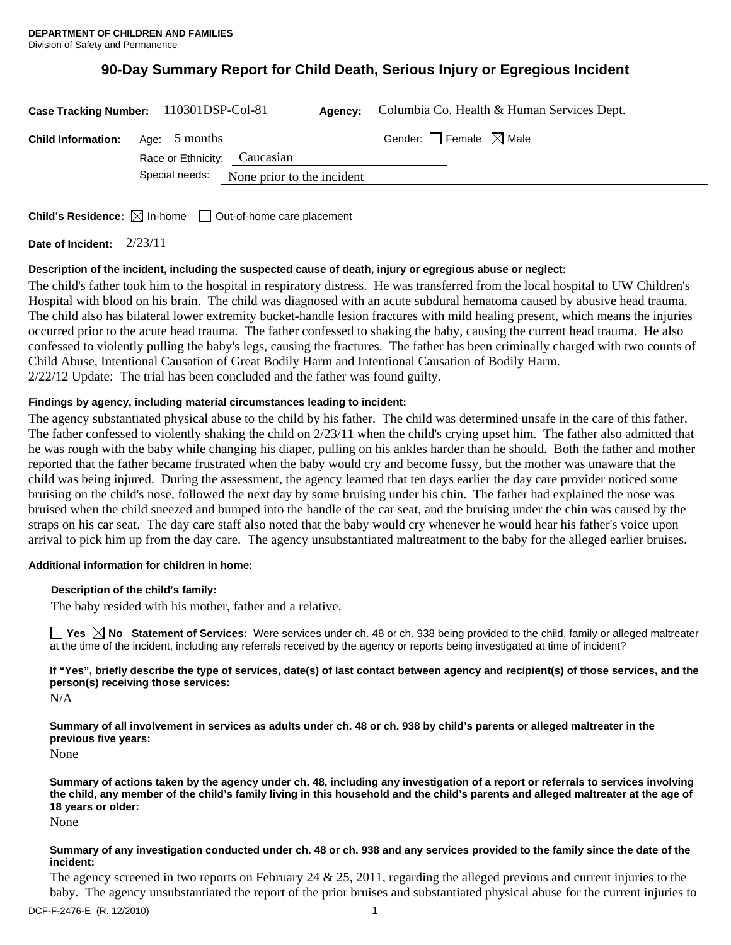# **90-Day Summary Report for Child Death, Serious Injury or Egregious Incident**

| Case Tracking Number: 110301DSP-Col-81  |                              | Agency:                                   | Columbia Co. Health & Human Services Dept. |  |
|-----------------------------------------|------------------------------|-------------------------------------------|--------------------------------------------|--|
| <b>Child Information:</b> Age: 5 months | Race or Ethnicity: Caucasian |                                           | Gender: $\Box$ Female $\boxtimes$ Male     |  |
|                                         |                              | Special needs: None prior to the incident |                                            |  |

**Child's Residence:**  $\boxtimes$  In-home  $\Box$  Out-of-home care placement

**Date of Incident:** 2/23/11

# **Description of the incident, including the suspected cause of death, injury or egregious abuse or neglect:**

The child's father took him to the hospital in respiratory distress. He was transferred from the local hospital to UW Children's Hospital with blood on his brain. The child was diagnosed with an acute subdural hematoma caused by abusive head trauma. The child also has bilateral lower extremity bucket-handle lesion fractures with mild healing present, which means the injuries occurred prior to the acute head trauma. The father confessed to shaking the baby, causing the current head trauma. He also confessed to violently pulling the baby's legs, causing the fractures. The father has been criminally charged with two counts of Child Abuse, Intentional Causation of Great Bodily Harm and Intentional Causation of Bodily Harm. 2/22/12 Update: The trial has been concluded and the father was found guilty.

# **Findings by agency, including material circumstances leading to incident:**

The agency substantiated physical abuse to the child by his father. The child was determined unsafe in the care of this father. The father confessed to violently shaking the child on 2/23/11 when the child's crying upset him. The father also admitted that he was rough with the baby while changing his diaper, pulling on his ankles harder than he should. Both the father and mother reported that the father became frustrated when the baby would cry and become fussy, but the mother was unaware that the child was being injured. During the assessment, the agency learned that ten days earlier the day care provider noticed some bruising on the child's nose, followed the next day by some bruising under his chin. The father had explained the nose was bruised when the child sneezed and bumped into the handle of the car seat, and the bruising under the chin was caused by the straps on his car seat. The day care staff also noted that the baby would cry whenever he would hear his father's voice upon arrival to pick him up from the day care. The agency unsubstantiated maltreatment to the baby for the alleged earlier bruises.

# **Additional information for children in home:**

# **Description of the child's family:**

The baby resided with his mother, father and a relative.

**Yes No Statement of Services:** Were services under ch. 48 or ch. 938 being provided to the child, family or alleged maltreater at the time of the incident, including any referrals received by the agency or reports being investigated at time of incident?

**If "Yes", briefly describe the type of services, date(s) of last contact between agency and recipient(s) of those services, and the person(s) receiving those services:** 

N/A

**Summary of all involvement in services as adults under ch. 48 or ch. 938 by child's parents or alleged maltreater in the previous five years:** 

None

**Summary of actions taken by the agency under ch. 48, including any investigation of a report or referrals to services involving the child, any member of the child's family living in this household and the child's parents and alleged maltreater at the age of 18 years or older:** 

None

#### **Summary of any investigation conducted under ch. 48 or ch. 938 and any services provided to the family since the date of the incident:**

The agency screened in two reports on February 24  $\&$  25, 2011, regarding the alleged previous and current injuries to the baby. The agency unsubstantiated the report of the prior bruises and substantiated physical abuse for the current injuries to